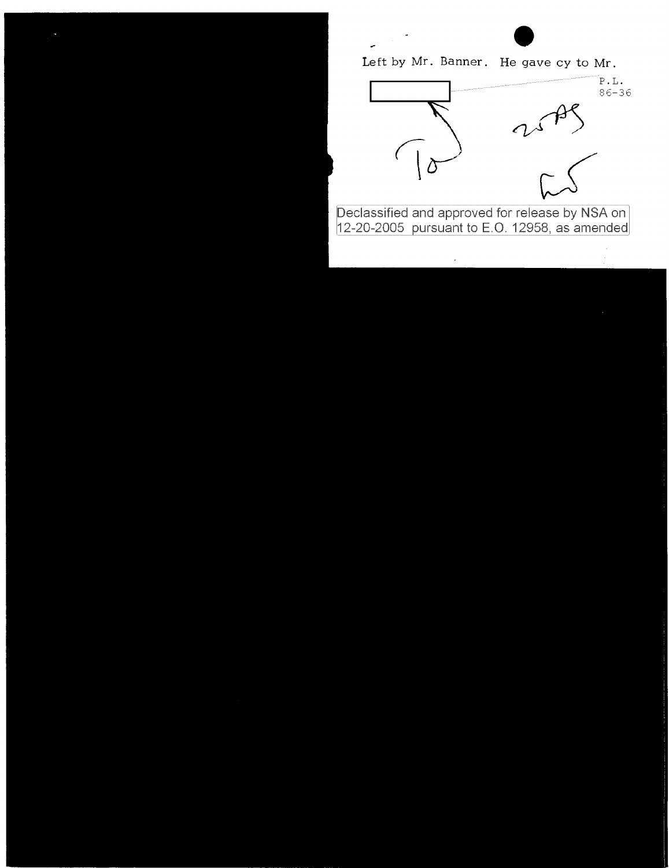Left by Mr. Banner. He gave cy to Mr.

 $\ddot{\phantom{0}}$ 



Declassified and approved for release by NSA on<br>12-20-2005 pursuant to E.O. 12958, as amended

 $\mathcal{L}$